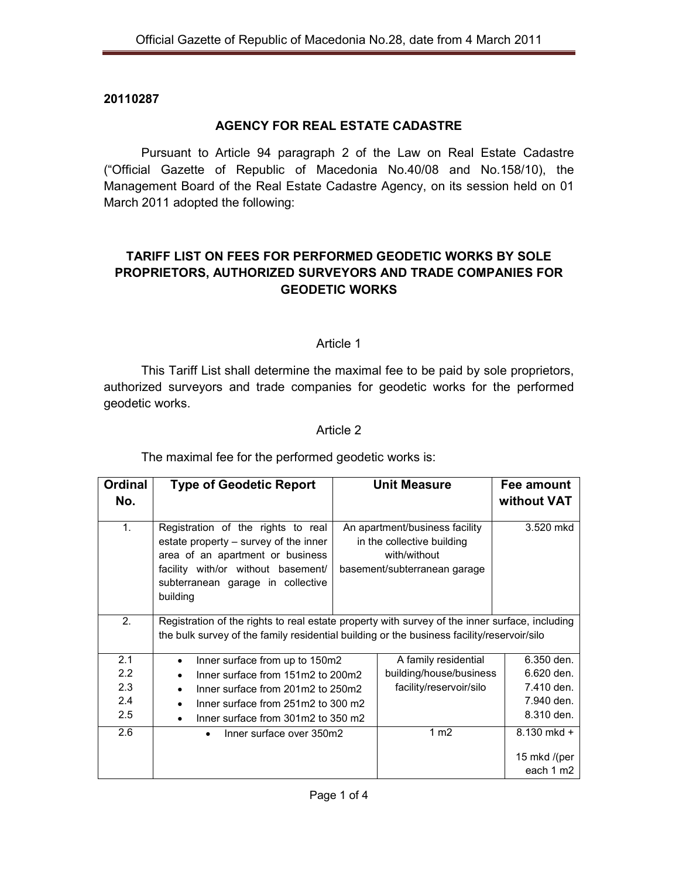## **20110287**

# **AGENCY FOR REAL ESTATE CADASTRE**

 Pursuant to Article 94 paragraph 2 of the Law on Real Estate Cadastre ("Official Gazette of Republic of Macedonia No.40/08 and No.158/10), the Management Board of the Real Estate Cadastre Agency, on its session held on 01 March 2011 adopted the following:

# **TARIFF LIST ON FEES FOR PERFORMED GEODETIC WORKS BY SOLE PROPRIETORS, AUTHORIZED SURVEYORS AND TRADE COMPANIES FOR GEODETIC WORKS**

### Article 1

This Tariff List shall determine the maximal fee to be paid by sole proprietors, authorized surveyors and trade companies for geodetic works for the performed geodetic works.

## Article 2

The maximal fee for the performed geodetic works is:

| <b>Ordinal</b><br>No. | <b>Type of Geodetic Report</b>                                                                                                                                                                         |  | <b>Unit Measure</b>                                                                                          | Fee amount<br>without VAT |
|-----------------------|--------------------------------------------------------------------------------------------------------------------------------------------------------------------------------------------------------|--|--------------------------------------------------------------------------------------------------------------|---------------------------|
| 1 <sub>1</sub>        | Registration of the rights to real<br>estate property – survey of the inner<br>area of an apartment or business<br>facility with/or without basement/<br>subterranean garage in collective<br>building |  | An apartment/business facility<br>in the collective building<br>with/without<br>basement/subterranean garage | 3.520 mkd                 |
| 2.                    | Registration of the rights to real estate property with survey of the inner surface, including<br>the bulk survey of the family residential building or the business facility/reservoir/silo           |  |                                                                                                              |                           |
| 2.1                   | Inner surface from up to 150m2                                                                                                                                                                         |  | A family residential                                                                                         | 6.350 den.                |
| 2.2                   | Inner surface from 151m2 to 200m2                                                                                                                                                                      |  | building/house/business                                                                                      | 6.620 den.                |
| 2.3                   | Inner surface from 201m2 to 250m2                                                                                                                                                                      |  | facility/reservoir/silo                                                                                      | 7.410 den.                |
| 2.4                   | Inner surface from 251m2 to 300 m2                                                                                                                                                                     |  |                                                                                                              | 7.940 den.                |
| 2.5                   | Inner surface from 301m2 to 350 m2<br>$\bullet$                                                                                                                                                        |  |                                                                                                              | 8.310 den.                |
| 2.6                   | Inner surface over 350m2<br>$\bullet$                                                                                                                                                                  |  | 1 m <sub>2</sub>                                                                                             | 8.130 mkd +               |
|                       |                                                                                                                                                                                                        |  |                                                                                                              | 15 mkd /(per              |
|                       |                                                                                                                                                                                                        |  |                                                                                                              | each 1 m2                 |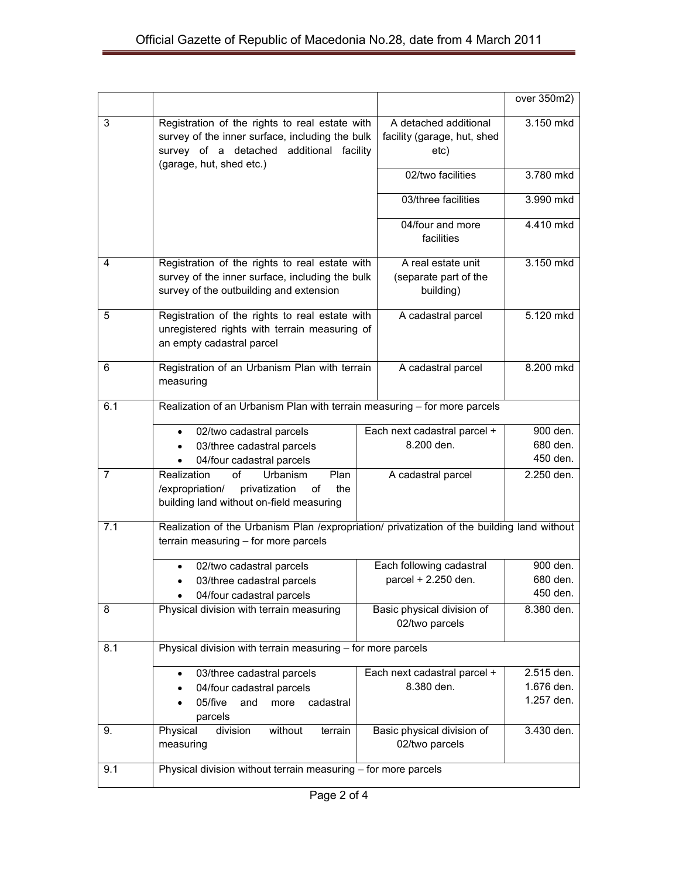|                |                                                                                                                                                                           |                                                              | over 350m2)                            |  |  |
|----------------|---------------------------------------------------------------------------------------------------------------------------------------------------------------------------|--------------------------------------------------------------|----------------------------------------|--|--|
| 3              | Registration of the rights to real estate with<br>survey of the inner surface, including the bulk<br>survey of a detached additional facility<br>(garage, hut, shed etc.) | A detached additional<br>facility (garage, hut, shed<br>etc) | 3.150 mkd                              |  |  |
|                |                                                                                                                                                                           | 02/two facilities                                            | 3.780 mkd                              |  |  |
|                |                                                                                                                                                                           | 03/three facilities                                          | 3.990 mkd                              |  |  |
|                |                                                                                                                                                                           | 04/four and more<br>facilities                               | 4.410 mkd                              |  |  |
| 4              | Registration of the rights to real estate with<br>survey of the inner surface, including the bulk<br>survey of the outbuilding and extension                              | A real estate unit<br>(separate part of the<br>building)     | 3.150 mkd                              |  |  |
| 5              | Registration of the rights to real estate with<br>unregistered rights with terrain measuring of<br>an empty cadastral parcel                                              | A cadastral parcel                                           | 5.120 mkd                              |  |  |
| 6              | Registration of an Urbanism Plan with terrain<br>measuring                                                                                                                | A cadastral parcel                                           | 8.200 mkd                              |  |  |
| 6.1            | Realization of an Urbanism Plan with terrain measuring - for more parcels                                                                                                 |                                                              |                                        |  |  |
|                | 02/two cadastral parcels<br>$\bullet$<br>03/three cadastral parcels<br>$\bullet$<br>04/four cadastral parcels                                                             | Each next cadastral parcel +<br>8.200 den.                   | 900 den.<br>680 den.<br>450 den.       |  |  |
| $\overline{7}$ | Realization<br>of<br>Plan<br>Urbanism<br>privatization<br>/expropriation/<br>the<br>of<br>building land without on-field measuring                                        | A cadastral parcel                                           | 2.250 den.                             |  |  |
| 7.1            | Realization of the Urbanism Plan /expropriation/ privatization of the building land without<br>terrain measuring - for more parcels                                       |                                                              |                                        |  |  |
|                | 02/two cadastral parcels<br>03/three cadastral parcels<br>04/four cadastral parcels                                                                                       | Each following cadastral<br>parcel + 2.250 den.              | 900 den.<br>680 den.<br>450 den.       |  |  |
| 8              | Physical division with terrain measuring                                                                                                                                  | Basic physical division of<br>02/two parcels                 | 8.380 den.                             |  |  |
| 8.1            | Physical division with terrain measuring - for more parcels                                                                                                               |                                                              |                                        |  |  |
|                | 03/three cadastral parcels<br>$\bullet$<br>04/four cadastral parcels<br>05/five<br>and<br>cadastral<br>more<br>parcels                                                    | Each next cadastral parcel +<br>8.380 den.                   | 2.515 den.<br>1.676 den.<br>1.257 den. |  |  |
| 9.             | Physical<br>division<br>without<br>terrain<br>measuring                                                                                                                   | Basic physical division of<br>02/two parcels                 | 3.430 den.                             |  |  |
| 9.1            | Physical division without terrain measuring - for more parcels                                                                                                            |                                                              |                                        |  |  |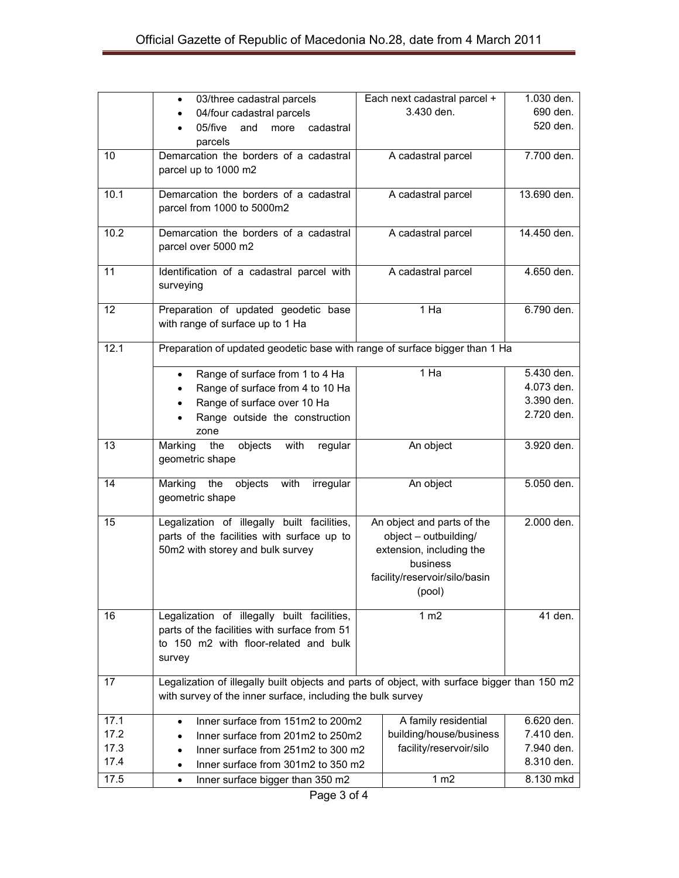|              | 03/three cadastral parcels<br>$\bullet$                                                      |  | Each next cadastral parcel +                       | 1.030 den.               |
|--------------|----------------------------------------------------------------------------------------------|--|----------------------------------------------------|--------------------------|
|              | 04/four cadastral parcels<br>$\bullet$                                                       |  | 3.430 den.                                         | 690 den.                 |
|              | 05/five<br>and<br>cadastral<br>more                                                          |  |                                                    | 520 den.                 |
|              | parcels                                                                                      |  |                                                    |                          |
| 10           | Demarcation the borders of a cadastral                                                       |  | A cadastral parcel                                 | 7.700 den.               |
|              | parcel up to 1000 m2                                                                         |  |                                                    |                          |
|              |                                                                                              |  |                                                    |                          |
| 10.1         | Demarcation the borders of a cadastral                                                       |  | A cadastral parcel                                 | 13.690 den.              |
|              | parcel from 1000 to 5000m2                                                                   |  |                                                    |                          |
| 10.2         | Demarcation the borders of a cadastral                                                       |  | A cadastral parcel                                 | 14.450 den.              |
|              | parcel over 5000 m2                                                                          |  |                                                    |                          |
|              |                                                                                              |  |                                                    |                          |
| 11           | Identification of a cadastral parcel with                                                    |  | A cadastral parcel                                 | 4.650 den.               |
|              | surveying                                                                                    |  |                                                    |                          |
|              |                                                                                              |  | 1 Ha                                               | 6.790 den.               |
| 12           | Preparation of updated geodetic base<br>with range of surface up to 1 Ha                     |  |                                                    |                          |
|              |                                                                                              |  |                                                    |                          |
| 12.1         | Preparation of updated geodetic base with range of surface bigger than 1 Ha                  |  |                                                    |                          |
|              |                                                                                              |  |                                                    |                          |
|              | Range of surface from 1 to 4 Ha<br>$\bullet$                                                 |  | 1 Ha                                               | 5.430 den.               |
|              | Range of surface from 4 to 10 Ha                                                             |  |                                                    | 4.073 den.               |
|              | Range of surface over 10 Ha<br>$\bullet$                                                     |  |                                                    | 3.390 den.               |
|              | Range outside the construction                                                               |  |                                                    | 2.720 den.               |
|              | zone                                                                                         |  |                                                    |                          |
| 13           | objects with<br>Marking<br>the<br>regular                                                    |  | An object                                          | 3.920 den.               |
|              | geometric shape                                                                              |  |                                                    |                          |
| 14           | Marking<br>the<br>objects with<br>irregular                                                  |  | An object                                          | 5.050 den.               |
|              | geometric shape                                                                              |  |                                                    |                          |
|              |                                                                                              |  |                                                    |                          |
| 15           | Legalization of illegally built facilities,                                                  |  | An object and parts of the                         | 2.000 den.               |
|              | parts of the facilities with surface up to                                                   |  | object - outbuilding/                              |                          |
|              | 50m2 with storey and bulk survey                                                             |  | extension, including the                           |                          |
|              |                                                                                              |  | business                                           |                          |
|              |                                                                                              |  | facility/reservoir/silo/basin                      |                          |
|              |                                                                                              |  | (pool)                                             |                          |
| 16           | Legalization of illegally built facilities,                                                  |  | 1 m2                                               | 41 den.                  |
|              | parts of the facilities with surface from 51                                                 |  |                                                    |                          |
|              | to 150 m2 with floor-related and bulk                                                        |  |                                                    |                          |
|              | survey                                                                                       |  |                                                    |                          |
|              |                                                                                              |  |                                                    |                          |
| 17           | Legalization of illegally built objects and parts of object, with surface bigger than 150 m2 |  |                                                    |                          |
|              | with survey of the inner surface, including the bulk survey                                  |  |                                                    |                          |
|              |                                                                                              |  |                                                    |                          |
| 17.1         | Inner surface from 151m2 to 200m2<br>$\bullet$                                               |  | A family residential                               | 6.620 den.               |
| 17.2<br>17.3 | Inner surface from 201m2 to 250m2                                                            |  | building/house/business<br>facility/reservoir/silo | 7.410 den.<br>7.940 den. |
| 17.4         | Inner surface from 251m2 to 300 m2<br>$\bullet$                                              |  |                                                    | 8.310 den.               |
|              | Inner surface from 301m2 to 350 m2                                                           |  |                                                    |                          |
| 17.5         | Inner surface bigger than 350 m2<br>$\bullet$                                                |  | 1 <sub>m2</sub>                                    | 8.130 mkd                |